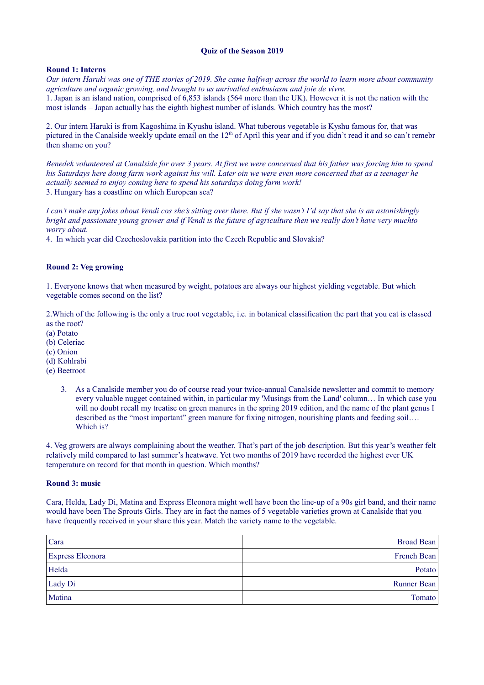# **Quiz of the Season 2019**

## **Round 1: Interns**

*Our intern Haruki was one of THE stories of 2019. She came halfway across the world to learn more about community agriculture and organic growing, and brought to us unrivalled enthusiasm and joie de vivre.* 1. Japan is an island nation, comprised of 6,853 islands (564 more than the UK). However it is not the nation with the most islands – Japan actually has the eighth highest number of islands. Which country has the most?

2. Our intern Haruki is from Kagoshima in Kyushu island. What tuberous vegetable is Kyshu famous for, that was pictured in the Canalside weekly update email on the 12<sup>th</sup> of April this year and if you didn't read it and so can't remebr then shame on you?

*Benedek volunteered at Canalside for over 3 years. At first we were concerned that his father was forcing him to spend his Saturdays here doing farm work against his will. Later oin we were even more concerned that as a teenager he actually seemed to enjoy coming here to spend his saturdays doing farm work!* 3. Hungary has a coastline on which European sea?

*I can't make any jokes about Vendi cos she's sitting over there. But if she wasn't I'd say that she is an astonishingly bright and passionate young grower and if Vendi is the future of agriculture then we really don't have very muchto worry about.* 

4. In which year did Czechoslovakia partition into the Czech Republic and Slovakia?

#### **Round 2: Veg growing**

1. Everyone knows that when measured by weight, potatoes are always our highest yielding vegetable. But which vegetable comes second on the list?

2.Which of the following is the only a true root vegetable, i.e. in botanical classification the part that you eat is classed as the root?

- (a) Potato
- (b) Celeriac
- (c) Onion
- (d) Kohlrabi
- (e) Beetroot
	- 3. As a Canalside member you do of course read your twice-annual Canalside newsletter and commit to memory every valuable nugget contained within, in particular my 'Musings from the Land' column… In which case you will no doubt recall my treatise on green manures in the spring 2019 edition, and the name of the plant genus I described as the "most important" green manure for fixing nitrogen, nourishing plants and feeding soil…. Which is?

4. Veg growers are always complaining about the weather. That's part of the job description. But this year's weather felt relatively mild compared to last summer's heatwave. Yet two months of 2019 have recorded the highest ever UK temperature on record for that month in question. Which months?

#### **Round 3: music**

Cara, Helda, Lady Di, Matina and Express Eleonora might well have been the line-up of a 90s girl band, and their name would have been The Sprouts Girls. They are in fact the names of 5 vegetable varieties grown at Canalside that you have frequently received in your share this year. Match the variety name to the vegetable.

| Cara                    | <b>Broad Bean</b> |
|-------------------------|-------------------|
| <b>Express Eleonora</b> | French Bean       |
| Helda                   | Potato            |
| Lady Di                 | Runner Bean       |
| Matina                  | Tomato            |